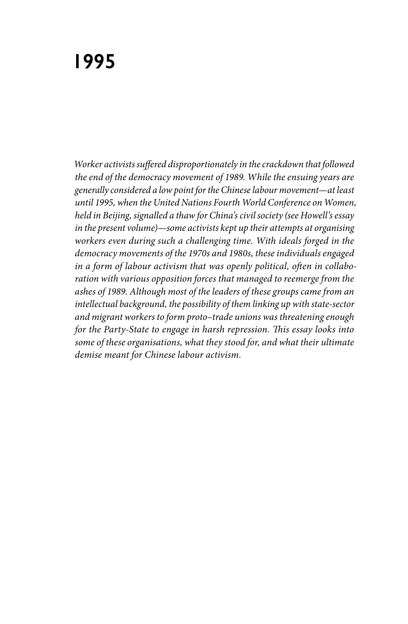*Worker activists suffered disproportionately in the crackdown that followed the end of the democracy movement of 1989. While the ensuing years are generally considered a low point for the Chinese labour movement—at least until 1995, when the United Nations Fourth World Conference on Women, held in Beijing, signalled a thaw for China's civil society (see Howell's essay in the present volume)—some activists kept up their attempts at organising workers even during such a challenging time. With ideals forged in the democracy movements of the 1970s and 1980s, these individuals engaged in a form of labour activism that was openly political, often in collaboration with various opposition forces that managed to reemerge from the ashes of 1989. Although most of the leaders of these groups came from an intellectual background, the possibility of them linking up with state-sector and migrant workers to form proto–trade unions was threatening enough for the Party-State to engage in harsh repression. This essay looks into some of these organisations, what they stood for, and what their ultimate demise meant for Chinese labour activism.*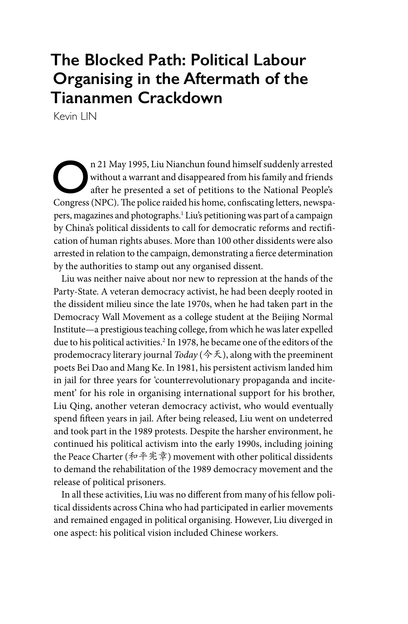## **The Blocked Path: Political Labour Organising in the Aftermath of the Tiananmen Crackdown**

Kevin LIN

n 21 May 1995, Liu Nianchun found himself suddenly arrested without a warrant and disappeared from his family and friends after he presented a set of petitions to the National People's Congress (NPC). The police raided his home, confiscating letters, newspapers, magazines and photographs.<sup>1</sup> Liu's petitioning was part of a campaign by China's political dissidents to call for democratic reforms and rectification of human rights abuses. More than 100 other dissidents were also arrested in relation to the campaign, demonstrating a fierce determination by the authorities to stamp out any organised dissent.

Liu was neither naive about nor new to repression at the hands of the Party-State. A veteran democracy activist, he had been deeply rooted in the dissident milieu since the late 1970s, when he had taken part in the Democracy Wall Movement as a college student at the Beijing Normal Institute—a prestigious teaching college, from which he was later expelled due to his political activities.2 In 1978, he became one of the editors of the prodemocracy literary journal *Today* (今天), along with the preeminent poets Bei Dao and Mang Ke. In 1981, his persistent activism landed him in jail for three years for 'counterrevolutionary propaganda and incitement' for his role in organising international support for his brother, Liu Qing, another veteran democracy activist, who would eventually spend fifteen years in jail. After being released, Liu went on undeterred and took part in the 1989 protests. Despite the harsher environment, he continued his political activism into the early 1990s, including joining the Peace Charter (和平宪章) movement with other political dissidents to demand the rehabilitation of the 1989 democracy movement and the release of political prisoners.

In all these activities, Liu was no different from many of his fellow political dissidents across China who had participated in earlier movements and remained engaged in political organising. However, Liu diverged in one aspect: his political vision included Chinese workers.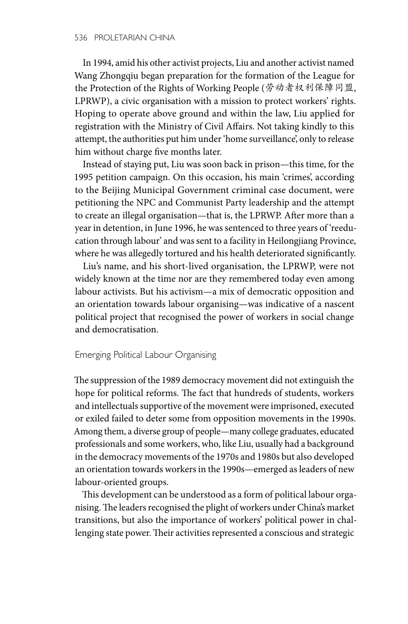In 1994, amid his other activist projects, Liu and another activist named Wang Zhongqiu began preparation for the formation of the League for the Protection of the Rights of Working People (劳动者权利保障同盟, LPRWP), a civic organisation with a mission to protect workers' rights. Hoping to operate above ground and within the law, Liu applied for registration with the Ministry of Civil Affairs. Not taking kindly to this attempt, the authorities put him under 'home surveillance', only to release him without charge five months later.

Instead of staying put, Liu was soon back in prison—this time, for the 1995 petition campaign. On this occasion, his main 'crimes', according to the Beijing Municipal Government criminal case document, were petitioning the NPC and Communist Party leadership and the attempt to create an illegal organisation—that is, the LPRWP. After more than a year in detention, in June 1996, he was sentenced to three years of 'reeducation through labour' and was sent to a facility in Heilongjiang Province, where he was allegedly tortured and his health deteriorated significantly.

Liu's name, and his short-lived organisation, the LPRWP, were not widely known at the time nor are they remembered today even among labour activists. But his activism—a mix of democratic opposition and an orientation towards labour organising—was indicative of a nascent political project that recognised the power of workers in social change and democratisation.

## Emerging Political Labour Organising

The suppression of the 1989 democracy movement did not extinguish the hope for political reforms. The fact that hundreds of students, workers and intellectuals supportive of the movement were imprisoned, executed or exiled failed to deter some from opposition movements in the 1990s. Among them, a diverse group of people—many college graduates, educated professionals and some workers, who, like Liu, usually had a background in the democracy movements of the 1970s and 1980s but also developed an orientation towards workers in the 1990s—emerged as leaders of new labour-oriented groups.

This development can be understood as a form of political labour organising. The leaders recognised the plight of workers under China's market transitions, but also the importance of workers' political power in challenging state power. Their activities represented a conscious and strategic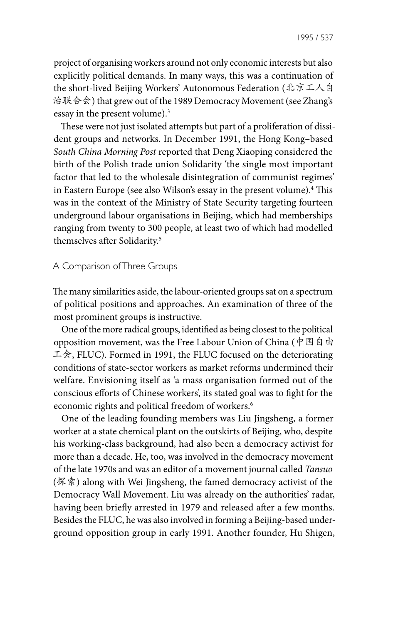project of organising workers around not only economic interests but also explicitly political demands. In many ways, this was a continuation of the short-lived Beijing Workers' Autonomous Federation (北京工人自 治联合会) that grew out of the 1989 Democracy Movement (see Zhang's essay in the present volume).3

These were not just isolated attempts but part of a proliferation of dissident groups and networks. In December 1991, the Hong Kong–based *South China Morning Post* reported that Deng Xiaoping considered the birth of the Polish trade union Solidarity 'the single most important factor that led to the wholesale disintegration of communist regimes' in Eastern Europe (see also Wilson's essay in the present volume).4 This was in the context of the Ministry of State Security targeting fourteen underground labour organisations in Beijing, which had memberships ranging from twenty to 300 people, at least two of which had modelled themselves after Solidarity.5

## A Comparison of Three Groups

The many similarities aside, the labour-oriented groups sat on a spectrum of political positions and approaches. An examination of three of the most prominent groups is instructive.

One of the more radical groups, identified as being closest to the political opposition movement, was the Free Labour Union of China (中国自由 工会, FLUC). Formed in 1991, the FLUC focused on the deteriorating conditions of state-sector workers as market reforms undermined their welfare. Envisioning itself as 'a mass organisation formed out of the conscious efforts of Chinese workers', its stated goal was to fight for the economic rights and political freedom of workers.<sup>6</sup>

One of the leading founding members was Liu Jingsheng, a former worker at a state chemical plant on the outskirts of Beijing, who, despite his working-class background, had also been a democracy activist for more than a decade. He, too, was involved in the democracy movement of the late 1970s and was an editor of a movement journal called *Tansuo*  $(\mathbb{R} \cdot \hat{\mathbb{R}})$  along with Wei Jingsheng, the famed democracy activist of the Democracy Wall Movement. Liu was already on the authorities' radar, having been briefly arrested in 1979 and released after a few months. Besides the FLUC, he was also involved in forming a Beijing-based underground opposition group in early 1991. Another founder, Hu Shigen,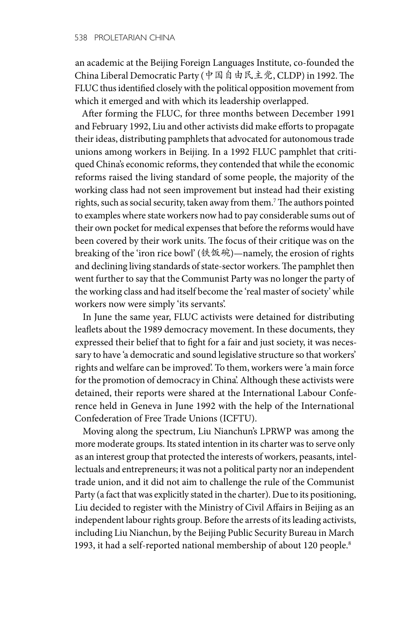an academic at the Beijing Foreign Languages Institute, co-founded the China Liberal Democratic Party (中国自由民主党, CLDP) in 1992. The FLUC thus identified closely with the political opposition movement from which it emerged and with which its leadership overlapped.

After forming the FLUC, for three months between December 1991 and February 1992, Liu and other activists did make efforts to propagate their ideas, distributing pamphlets that advocated for autonomous trade unions among workers in Beijing. In a 1992 FLUC pamphlet that critiqued China's economic reforms, they contended that while the economic reforms raised the living standard of some people, the majority of the working class had not seen improvement but instead had their existing rights, such as social security, taken away from them.7 The authors pointed to examples where state workers now had to pay considerable sums out of their own pocket for medical expenses that before the reforms would have been covered by their work units. The focus of their critique was on the breaking of the 'iron rice bowl' (铁饭碗)—namely, the erosion of rights and declining living standards of state-sector workers. The pamphlet then went further to say that the Communist Party was no longer the party of the working class and had itself become the 'real master of society' while workers now were simply 'its servants'.

In June the same year, FLUC activists were detained for distributing leaflets about the 1989 democracy movement. In these documents, they expressed their belief that to fight for a fair and just society, it was necessary to have 'a democratic and sound legislative structure so that workers' rights and welfare can be improved'. To them, workers were 'a main force for the promotion of democracy in China'. Although these activists were detained, their reports were shared at the International Labour Conference held in Geneva in June 1992 with the help of the International Confederation of Free Trade Unions (ICFTU).

Moving along the spectrum, Liu Nianchun's LPRWP was among the more moderate groups. Its stated intention in its charter was to serve only as an interest group that protected the interests of workers, peasants, intellectuals and entrepreneurs; it was not a political party nor an independent trade union, and it did not aim to challenge the rule of the Communist Party (a fact that was explicitly stated in the charter). Due to its positioning, Liu decided to register with the Ministry of Civil Affairs in Beijing as an independent labour rights group. Before the arrests of its leading activists, including Liu Nianchun, by the Beijing Public Security Bureau in March 1993, it had a self-reported national membership of about 120 people.<sup>8</sup>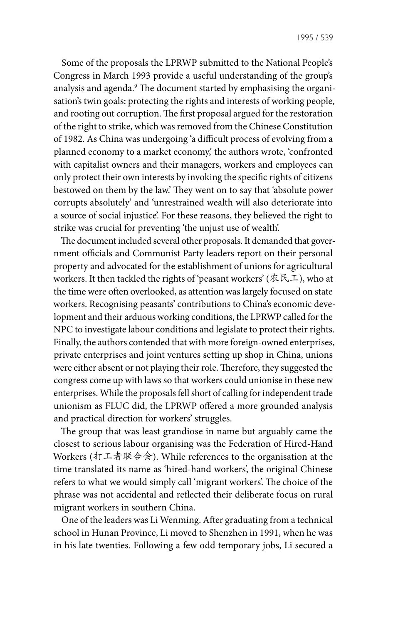Some of the proposals the LPRWP submitted to the National People's Congress in March 1993 provide a useful understanding of the group's analysis and agenda.<sup>9</sup> The document started by emphasising the organisation's twin goals: protecting the rights and interests of working people, and rooting out corruption. The first proposal argued for the restoration of the right to strike, which was removed from the Chinese Constitution of 1982. As China was undergoing 'a difficult process of evolving from a planned economy to a market economy,' the authors wrote, 'confronted with capitalist owners and their managers, workers and employees can only protect their own interests by invoking the specific rights of citizens bestowed on them by the law.' They went on to say that 'absolute power corrupts absolutely' and 'unrestrained wealth will also deteriorate into a source of social injustice'. For these reasons, they believed the right to strike was crucial for preventing 'the unjust use of wealth'.

The document included several other proposals. It demanded that government officials and Communist Party leaders report on their personal property and advocated for the establishment of unions for agricultural workers. It then tackled the rights of 'peasant workers' ( $R \nleq L$ ), who at the time were often overlooked, as attention was largely focused on state workers. Recognising peasants' contributions to China's economic development and their arduous working conditions, the LPRWP called for the NPC to investigate labour conditions and legislate to protect their rights. Finally, the authors contended that with more foreign-owned enterprises, private enterprises and joint ventures setting up shop in China, unions were either absent or not playing their role. Therefore, they suggested the congress come up with laws so that workers could unionise in these new enterprises. While the proposals fell short of calling for independent trade unionism as FLUC did, the LPRWP offered a more grounded analysis and practical direction for workers' struggles.

The group that was least grandiose in name but arguably came the closest to serious labour organising was the Federation of Hired-Hand Workers (打工者联合会). While references to the organisation at the time translated its name as 'hired-hand workers', the original Chinese refers to what we would simply call 'migrant workers'. The choice of the phrase was not accidental and reflected their deliberate focus on rural migrant workers in southern China.

One of the leaders was Li Wenming. After graduating from a technical school in Hunan Province, Li moved to Shenzhen in 1991, when he was in his late twenties. Following a few odd temporary jobs, Li secured a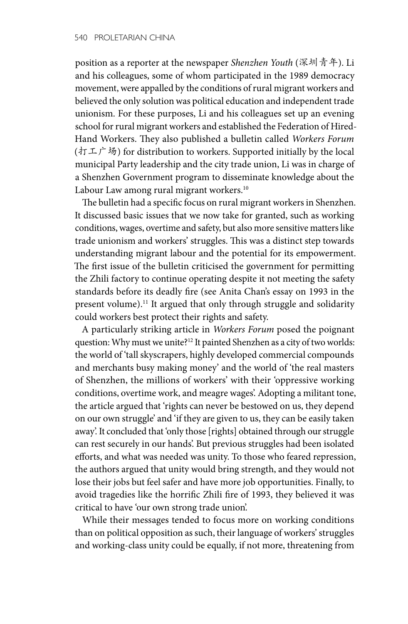position as a reporter at the newspaper *Shenzhen Youth* (深圳青年). Li and his colleagues, some of whom participated in the 1989 democracy movement, were appalled by the conditions of rural migrant workers and believed the only solution was political education and independent trade unionism. For these purposes, Li and his colleagues set up an evening school for rural migrant workers and established the Federation of Hired-Hand Workers. They also published a bulletin called *Workers Forum* (打工广场) for distribution to workers. Supported initially by the local municipal Party leadership and the city trade union, Li was in charge of a Shenzhen Government program to disseminate knowledge about the Labour Law among rural migrant workers.<sup>10</sup>

The bulletin had a specific focus on rural migrant workers in Shenzhen. It discussed basic issues that we now take for granted, such as working conditions, wages, overtime and safety, but also more sensitive matters like trade unionism and workers' struggles. This was a distinct step towards understanding migrant labour and the potential for its empowerment. The first issue of the bulletin criticised the government for permitting the Zhili factory to continue operating despite it not meeting the safety standards before its deadly fire (see Anita Chan's essay on 1993 in the present volume).<sup>11</sup> It argued that only through struggle and solidarity could workers best protect their rights and safety.

A particularly striking article in *Workers Forum* posed the poignant question: Why must we unite?<sup>12</sup> It painted Shenzhen as a city of two worlds: the world of 'tall skyscrapers, highly developed commercial compounds and merchants busy making money' and the world of 'the real masters of Shenzhen, the millions of workers' with their 'oppressive working conditions, overtime work, and meagre wages'. Adopting a militant tone, the article argued that 'rights can never be bestowed on us, they depend on our own struggle' and 'if they are given to us, they can be easily taken away'. It concluded that 'only those [rights] obtained through our struggle can rest securely in our hands'. But previous struggles had been isolated efforts, and what was needed was unity. To those who feared repression, the authors argued that unity would bring strength, and they would not lose their jobs but feel safer and have more job opportunities. Finally, to avoid tragedies like the horrific Zhili fire of 1993, they believed it was critical to have 'our own strong trade union'.

While their messages tended to focus more on working conditions than on political opposition as such, their language of workers' struggles and working-class unity could be equally, if not more, threatening from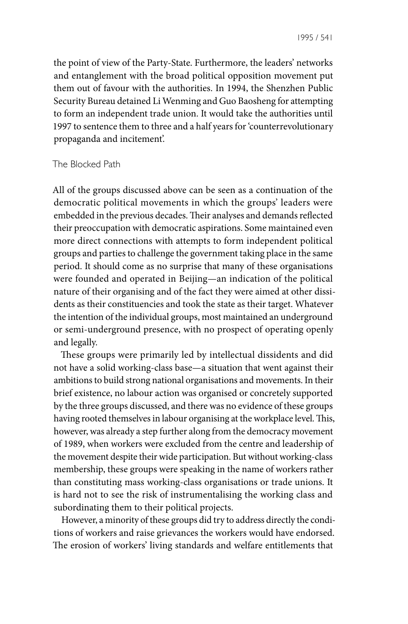the point of view of the Party-State. Furthermore, the leaders' networks and entanglement with the broad political opposition movement put them out of favour with the authorities. In 1994, the Shenzhen Public Security Bureau detained Li Wenming and Guo Baosheng for attempting to form an independent trade union. It would take the authorities until 1997 to sentence them to three and a half years for 'counterrevolutionary propaganda and incitement'.

## The Blocked Path

All of the groups discussed above can be seen as a continuation of the democratic political movements in which the groups' leaders were embedded in the previous decades. Their analyses and demands reflected their preoccupation with democratic aspirations. Some maintained even more direct connections with attempts to form independent political groups and parties to challenge the government taking place in the same period. It should come as no surprise that many of these organisations were founded and operated in Beijing—an indication of the political nature of their organising and of the fact they were aimed at other dissidents as their constituencies and took the state as their target. Whatever the intention of the individual groups, most maintained an underground or semi-underground presence, with no prospect of operating openly and legally.

These groups were primarily led by intellectual dissidents and did not have a solid working-class base—a situation that went against their ambitions to build strong national organisations and movements. In their brief existence, no labour action was organised or concretely supported by the three groups discussed, and there was no evidence of these groups having rooted themselves in labour organising at the workplace level. This, however, was already a step further along from the democracy movement of 1989, when workers were excluded from the centre and leadership of the movement despite their wide participation. But without working-class membership, these groups were speaking in the name of workers rather than constituting mass working-class organisations or trade unions. It is hard not to see the risk of instrumentalising the working class and subordinating them to their political projects.

However, a minority of these groups did try to address directly the conditions of workers and raise grievances the workers would have endorsed. The erosion of workers' living standards and welfare entitlements that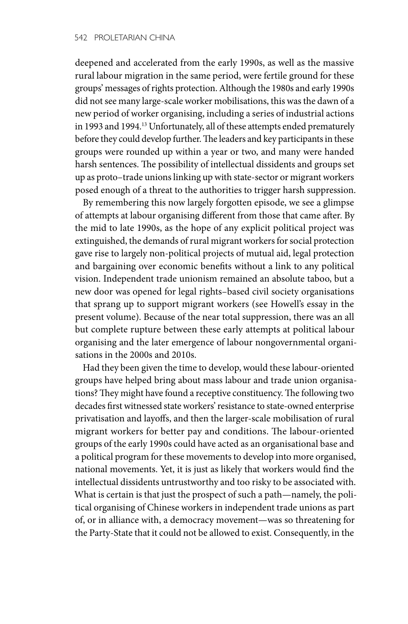deepened and accelerated from the early 1990s, as well as the massive rural labour migration in the same period, were fertile ground for these groups' messages of rights protection. Although the 1980s and early 1990s did not see many large-scale worker mobilisations, this was the dawn of a new period of worker organising, including a series of industrial actions in 1993 and 1994.13 Unfortunately, all of these attempts ended prematurely before they could develop further. The leaders and key participants in these groups were rounded up within a year or two, and many were handed harsh sentences. The possibility of intellectual dissidents and groups set up as proto–trade unions linking up with state-sector or migrant workers posed enough of a threat to the authorities to trigger harsh suppression.

By remembering this now largely forgotten episode, we see a glimpse of attempts at labour organising different from those that came after. By the mid to late 1990s, as the hope of any explicit political project was extinguished, the demands of rural migrant workers for social protection gave rise to largely non-political projects of mutual aid, legal protection and bargaining over economic benefits without a link to any political vision. Independent trade unionism remained an absolute taboo, but a new door was opened for legal rights–based civil society organisations that sprang up to support migrant workers (see Howell's essay in the present volume). Because of the near total suppression, there was an all but complete rupture between these early attempts at political labour organising and the later emergence of labour nongovernmental organisations in the 2000s and 2010s.

Had they been given the time to develop, would these labour-oriented groups have helped bring about mass labour and trade union organisations? They might have found a receptive constituency. The following two decades first witnessed state workers' resistance to state-owned enterprise privatisation and layoffs, and then the larger-scale mobilisation of rural migrant workers for better pay and conditions. The labour-oriented groups of the early 1990s could have acted as an organisational base and a political program for these movements to develop into more organised, national movements. Yet, it is just as likely that workers would find the intellectual dissidents untrustworthy and too risky to be associated with. What is certain is that just the prospect of such a path—namely, the political organising of Chinese workers in independent trade unions as part of, or in alliance with, a democracy movement—was so threatening for the Party-State that it could not be allowed to exist. Consequently, in the